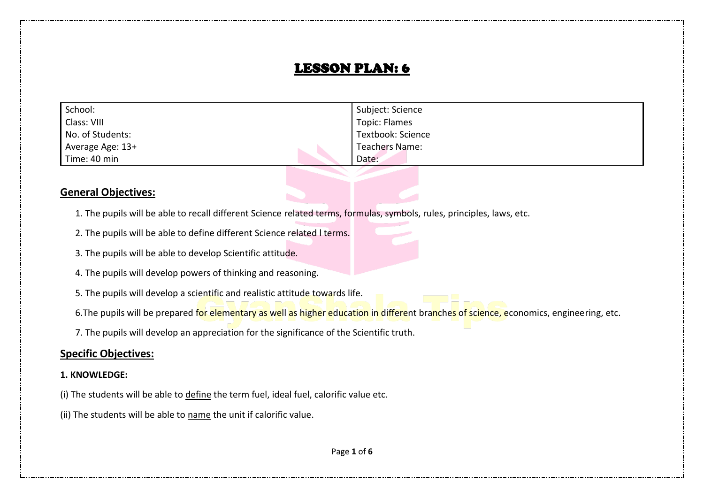## LESSON PLAN: 6

| School:          | Subject: Science  |
|------------------|-------------------|
| Class: VIII      | Topic: Flames     |
| No. of Students: | Textbook: Science |
| Average Age: 13+ | Teachers Name:    |
| Time: 40 min     | Date:             |

#### **General Objectives:**

- 1. The pupils will be able to recall different Science related terms, formulas, symbols, rules, principles, laws, etc.
- 2. The pupils will be able to define different Science related l terms.
- 3. The pupils will be able to develop Scientific attitude.
- 4. The pupils will develop powers of thinking and reasoning.
- 5. The pupils will develop a scientific and realistic attitude towards life.
- 6. The pupils will be prepared for elementary as well as higher education in different branches of science, economics, engineering, etc.
- 7. The pupils will develop an appreciation for the significance of the Scientific truth.

#### **Specific Objectives:**

#### **1. KNOWLEDGE:**

- (i) The students will be able to define the term fuel, ideal fuel, calorific value etc.
- (ii) The students will be able to name the unit if calorific value.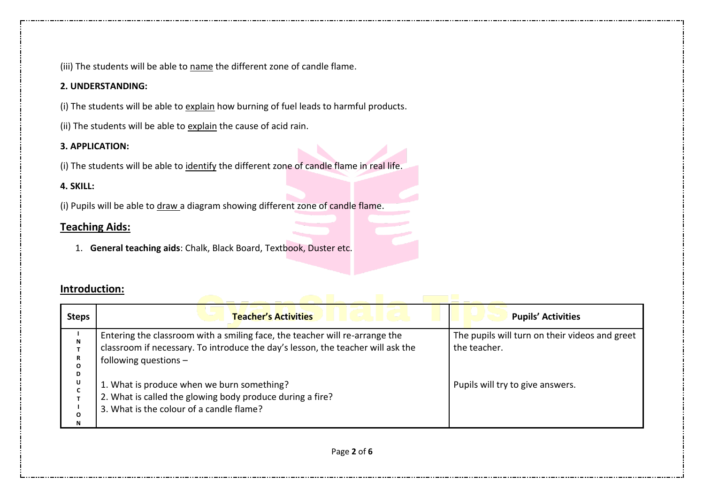(iii) The students will be able to name the different zone of candle flame.

#### **2. UNDERSTANDING:**

(i) The students will be able to explain how burning of fuel leads to harmful products.

(ii) The students will be able to explain the cause of acid rain.

#### **3. APPLICATION:**

(i) The students will be able to identify the different zone of candle flame in real life.

## **4. SKILL:**

(i) Pupils will be able to draw a diagram showing different zone of candle flame.

## **Teaching Aids:**

1. **General teaching aids**: Chalk, Black Board, Textbook, Duster etc.

## **Introduction:**

| <b>Steps</b>                               | <b>Teacher's Activities</b><br>.                                                                                                                                                                                                                                                                                                                 | <b>Pupils' Activities</b>                                                                          |
|--------------------------------------------|--------------------------------------------------------------------------------------------------------------------------------------------------------------------------------------------------------------------------------------------------------------------------------------------------------------------------------------------------|----------------------------------------------------------------------------------------------------|
| N<br>R<br>$\mathbf{o}$<br>D<br>U<br>O<br>N | Entering the classroom with a smiling face, the teacher will re-arrange the<br>classroom if necessary. To introduce the day's lesson, the teacher will ask the<br>following questions $-$<br>1. What is produce when we burn something?<br>2. What is called the glowing body produce during a fire?<br>3. What is the colour of a candle flame? | The pupils will turn on their videos and greet<br>the teacher.<br>Pupils will try to give answers. |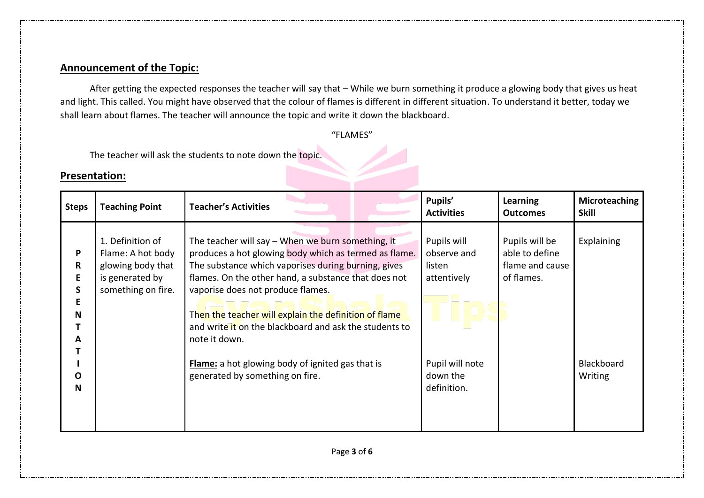## **Announcement of the Topic:**

 After getting the expected responses the teacher will say that – While we burn something it produce a glowing body that gives us heat and light. This called. You might have observed that the colour of flames is different in different situation. To understand it better, today we shall learn about flames. The teacher will announce the topic and write it down the blackboard.

#### "FLAMES"

The teacher will ask the students to note down the topic.

## **Presentation:**

| <b>Steps</b>                     | <b>Teaching Point</b>                                                                               | <b>Teacher's Activities</b>                                                                                                                                                                                                                                                                                                                                                                        | Pupils'<br><b>Activities</b>                        | <b>Learning</b><br><b>Outcomes</b>                                | Microteaching<br><b>Skill</b> |
|----------------------------------|-----------------------------------------------------------------------------------------------------|----------------------------------------------------------------------------------------------------------------------------------------------------------------------------------------------------------------------------------------------------------------------------------------------------------------------------------------------------------------------------------------------------|-----------------------------------------------------|-------------------------------------------------------------------|-------------------------------|
| P<br>R<br>E<br>S.<br>Ε<br>N<br>A | 1. Definition of<br>Flame: A hot body<br>glowing body that<br>is generated by<br>something on fire. | The teacher will say - When we burn something, it<br>produces a hot glowing body which as termed as flame.<br>The substance which vaporises during burning, gives<br>flames. On the other hand, a substance that does not<br>vaporise does not produce flames.<br>Then the teacher will explain the definition of flame<br>and write it on the blackboard and ask the students to<br>note it down. | Pupils will<br>observe and<br>listen<br>attentively | Pupils will be<br>able to define<br>flame and cause<br>of flames. | Explaining                    |
| O<br>N                           |                                                                                                     | <b>Flame:</b> a hot glowing body of ignited gas that is<br>generated by something on fire.                                                                                                                                                                                                                                                                                                         | Pupil will note<br>down the<br>definition.          |                                                                   | Blackboard<br>Writing         |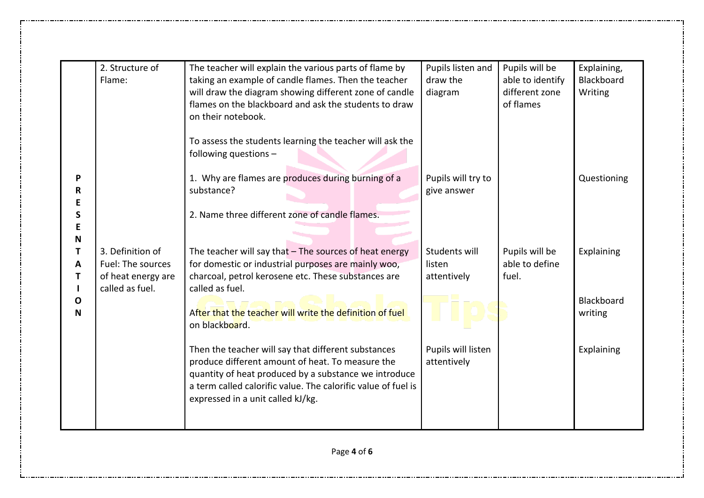|   | 2. Structure of    | The teacher will explain the various parts of flame by        | Pupils listen and    | Pupils will be   | Explaining, |
|---|--------------------|---------------------------------------------------------------|----------------------|------------------|-------------|
|   | Flame:             | taking an example of candle flames. Then the teacher          | draw the             | able to identify | Blackboard  |
|   |                    | will draw the diagram showing different zone of candle        | diagram              | different zone   | Writing     |
|   |                    | flames on the blackboard and ask the students to draw         |                      | of flames        |             |
|   |                    | on their notebook.                                            |                      |                  |             |
|   |                    |                                                               |                      |                  |             |
|   |                    | To assess the students learning the teacher will ask the      |                      |                  |             |
|   |                    | following questions -                                         |                      |                  |             |
| P |                    | 1. Why are flames are produces during burning of a            | Pupils will try to   |                  | Questioning |
| R |                    | substance?                                                    | give answer          |                  |             |
|   |                    |                                                               |                      |                  |             |
|   |                    | 2. Name three different zone of candle flames.                |                      |                  |             |
|   |                    |                                                               |                      |                  |             |
| N |                    |                                                               |                      |                  |             |
|   | 3. Definition of   | The teacher will say that $-$ The sources of heat energy      | <b>Students will</b> | Pupils will be   | Explaining  |
|   | Fuel: The sources  | for domestic or industrial purposes are mainly woo,           | listen               | able to define   |             |
| A |                    |                                                               |                      |                  |             |
|   | of heat energy are | charcoal, petrol kerosene etc. These substances are           | attentively          | fuel.            |             |
|   | called as fuel.    | called as fuel.                                               |                      |                  |             |
| O |                    |                                                               |                      |                  | Blackboard  |
| N |                    | After that the teacher will write the definition of fuel      |                      |                  | writing     |
|   |                    | on blackboard.                                                |                      |                  |             |
|   |                    |                                                               |                      |                  |             |
|   |                    | Then the teacher will say that different substances           | Pupils will listen   |                  | Explaining  |
|   |                    | produce different amount of heat. To measure the              | attentively          |                  |             |
|   |                    | quantity of heat produced by a substance we introduce         |                      |                  |             |
|   |                    | a term called calorific value. The calorific value of fuel is |                      |                  |             |
|   |                    | expressed in a unit called kJ/kg.                             |                      |                  |             |
|   |                    |                                                               |                      |                  |             |
|   |                    |                                                               |                      |                  |             |
|   |                    |                                                               |                      |                  |             |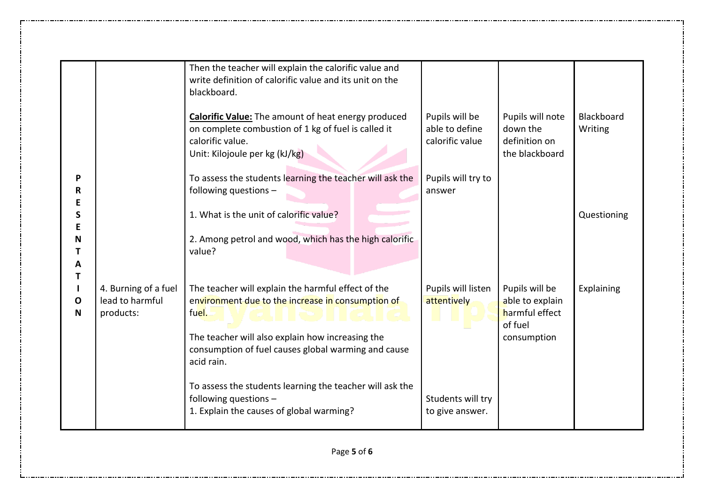|                       |                                                      | Then the teacher will explain the calorific value and<br>write definition of calorific value and its unit on the<br>blackboard.                                         |                                                     |                                                                 |                       |
|-----------------------|------------------------------------------------------|-------------------------------------------------------------------------------------------------------------------------------------------------------------------------|-----------------------------------------------------|-----------------------------------------------------------------|-----------------------|
|                       |                                                      | <b>Calorific Value:</b> The amount of heat energy produced<br>on complete combustion of 1 kg of fuel is called it<br>calorific value.<br>Unit: Kilojoule per kg (kJ/kg) | Pupils will be<br>able to define<br>calorific value | Pupils will note<br>down the<br>definition on<br>the blackboard | Blackboard<br>Writing |
| P<br>R<br>Е           |                                                      | To assess the students learning the teacher will ask the<br>following questions -                                                                                       | Pupils will try to<br>answer                        |                                                                 |                       |
| S<br>Е                |                                                      | 1. What is the unit of calorific value?                                                                                                                                 |                                                     |                                                                 | Questioning           |
| N<br>Т<br>A           |                                                      | 2. Among petrol and wood, which has the high calorific<br>value?                                                                                                        |                                                     |                                                                 |                       |
| Т<br>O<br>$\mathbf N$ | 4. Burning of a fuel<br>lead to harmful<br>products: | The teacher will explain the harmful effect of the<br>environment due to the increase in consumption of<br>fuel.                                                        | Pupils will listen<br>attentively                   | Pupils will be<br>able to explain<br>harmful effect<br>of fuel  | Explaining            |
|                       |                                                      | The teacher will also explain how increasing the<br>consumption of fuel causes global warming and cause<br>acid rain.                                                   |                                                     | consumption                                                     |                       |
|                       |                                                      | To assess the students learning the teacher will ask the<br>following questions -<br>1. Explain the causes of global warming?                                           | Students will try<br>to give answer.                |                                                                 |                       |